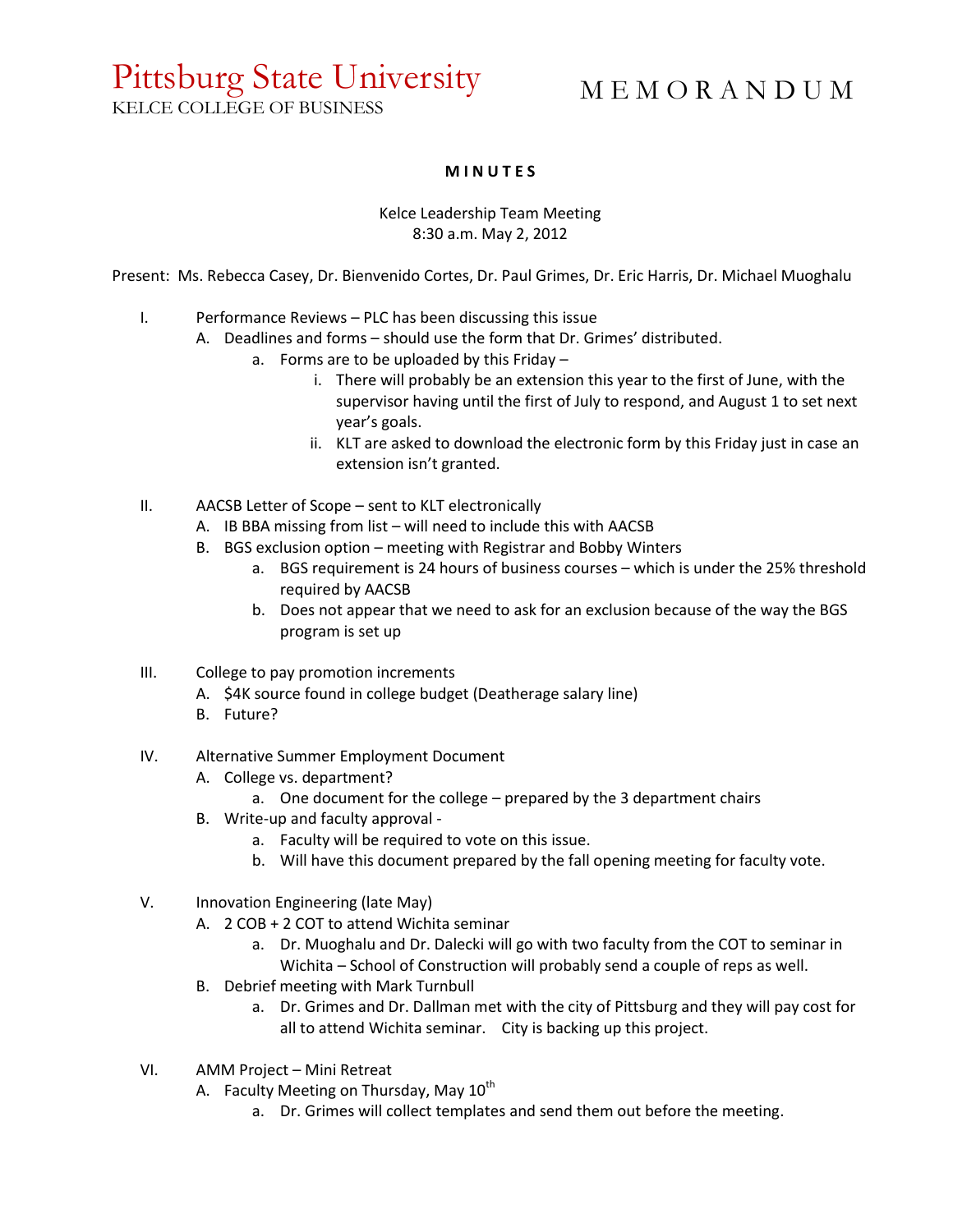## Pittsburg State University KELCE COLLEGE OF BUSINESS

# M E M O R A N D U M

### **M I N U T E S**

#### Kelce Leadership Team Meeting 8:30 a.m. May 2, 2012

Present: Ms. Rebecca Casey, Dr. Bienvenido Cortes, Dr. Paul Grimes, Dr. Eric Harris, Dr. Michael Muoghalu

- I. Performance Reviews PLC has been discussing this issue
	- A. Deadlines and forms should use the form that Dr. Grimes' distributed.
		- a. Forms are to be uploaded by this Friday
			- i. There will probably be an extension this year to the first of June, with the supervisor having until the first of July to respond, and August 1 to set next year's goals.
			- ii. KLT are asked to download the electronic form by this Friday just in case an extension isn't granted.
- II. AACSB Letter of Scope sent to KLT electronically
	- A. IB BBA missing from list will need to include this with AACSB
	- B. BGS exclusion option meeting with Registrar and Bobby Winters
		- a. BGS requirement is 24 hours of business courses which is under the 25% threshold required by AACSB
		- b. Does not appear that we need to ask for an exclusion because of the way the BGS program is set up
- III. College to pay promotion increments
	- A. \$4K source found in college budget (Deatherage salary line)
	- B. Future?
- IV. Alternative Summer Employment Document
	- A. College vs. department?
		- a. One document for the college prepared by the 3 department chairs
	- B. Write-up and faculty approval
		- a. Faculty will be required to vote on this issue.
		- b. Will have this document prepared by the fall opening meeting for faculty vote.
- V. Innovation Engineering (late May)
	- A. 2 COB + 2 COT to attend Wichita seminar
		- a. Dr. Muoghalu and Dr. Dalecki will go with two faculty from the COT to seminar in Wichita – School of Construction will probably send a couple of reps as well.
	- B. Debrief meeting with Mark Turnbull
		- a. Dr. Grimes and Dr. Dallman met with the city of Pittsburg and they will pay cost for all to attend Wichita seminar. City is backing up this project.
- VI. AMM Project Mini Retreat
	- A. Faculty Meeting on Thursday, May 10<sup>th</sup>
		- a. Dr. Grimes will collect templates and send them out before the meeting.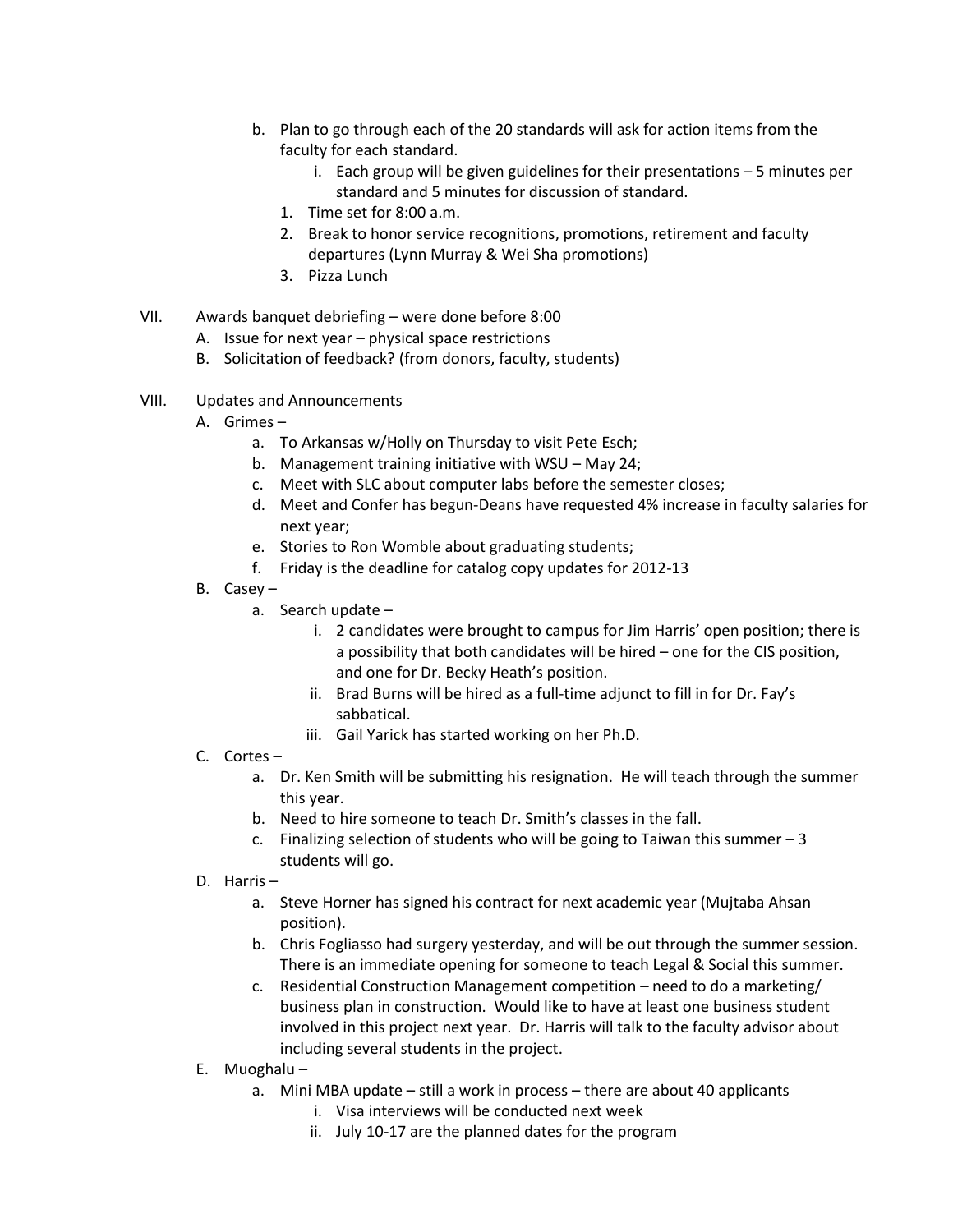- b. Plan to go through each of the 20 standards will ask for action items from the faculty for each standard.
	- i. Each group will be given guidelines for their presentations 5 minutes per standard and 5 minutes for discussion of standard.
	- 1. Time set for 8:00 a.m.
	- 2. Break to honor service recognitions, promotions, retirement and faculty departures (Lynn Murray & Wei Sha promotions)
	- 3. Pizza Lunch

#### VII. Awards banquet debriefing – were done before 8:00

- A. Issue for next year physical space restrictions
- B. Solicitation of feedback? (from donors, faculty, students)
- VIII. Updates and Announcements
	- A. Grimes
		- a. To Arkansas w/Holly on Thursday to visit Pete Esch;
		- b. Management training initiative with WSU May 24;
		- c. Meet with SLC about computer labs before the semester closes;
		- d. Meet and Confer has begun-Deans have requested 4% increase in faculty salaries for next year;
		- e. Stories to Ron Womble about graduating students;
		- f. Friday is the deadline for catalog copy updates for 2012-13
	- B. Casey
		- a. Search update
			- i. 2 candidates were brought to campus for Jim Harris' open position; there is a possibility that both candidates will be hired – one for the CIS position, and one for Dr. Becky Heath's position.
			- ii. Brad Burns will be hired as a full-time adjunct to fill in for Dr. Fay's sabbatical.
			- iii. Gail Yarick has started working on her Ph.D.

#### C. Cortes –

- a. Dr. Ken Smith will be submitting his resignation. He will teach through the summer this year.
- b. Need to hire someone to teach Dr. Smith's classes in the fall.
- c. Finalizing selection of students who will be going to Taiwan this summer  $-3$ students will go.
- D. Harris
	- a. Steve Horner has signed his contract for next academic year (Mujtaba Ahsan position).
	- b. Chris Fogliasso had surgery yesterday, and will be out through the summer session. There is an immediate opening for someone to teach Legal & Social this summer.
	- c. Residential Construction Management competition need to do a marketing/ business plan in construction. Would like to have at least one business student involved in this project next year. Dr. Harris will talk to the faculty advisor about including several students in the project.
- E. Muoghalu
	- a. Mini MBA update still a work in process there are about 40 applicants
		- i. Visa interviews will be conducted next week
		- ii. July 10-17 are the planned dates for the program